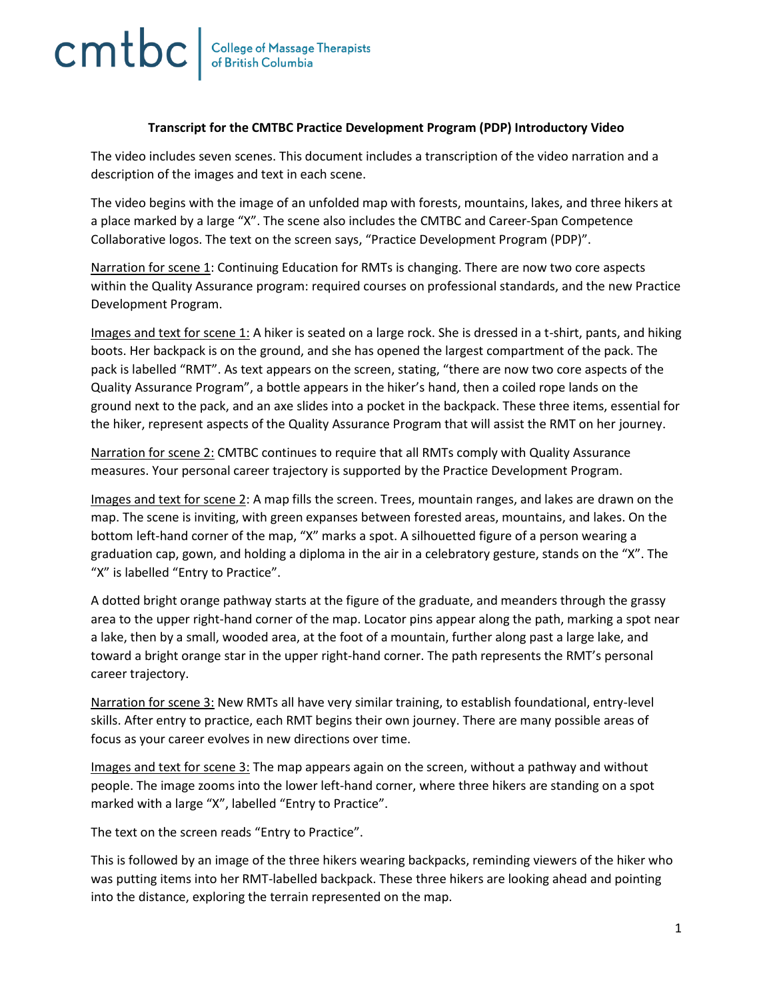## **Transcript for the CMTBC Practice Development Program (PDP) Introductory Video**

The video includes seven scenes. This document includes a transcription of the video narration and a description of the images and text in each scene.

The video begins with the image of an unfolded map with forests, mountains, lakes, and three hikers at a place marked by a large "X". The scene also includes the CMTBC and Career-Span Competence Collaborative logos. The text on the screen says, "Practice Development Program (PDP)".

Narration for scene 1: Continuing Education for RMTs is changing. There are now two core aspects within the Quality Assurance program: required courses on professional standards, and the new Practice Development Program.

Images and text for scene 1: A hiker is seated on a large rock. She is dressed in a t-shirt, pants, and hiking boots. Her backpack is on the ground, and she has opened the largest compartment of the pack. The pack is labelled "RMT". As text appears on the screen, stating, "there are now two core aspects of the Quality Assurance Program", a bottle appears in the hiker's hand, then a coiled rope lands on the ground next to the pack, and an axe slides into a pocket in the backpack. These three items, essential for the hiker, represent aspects of the Quality Assurance Program that will assist the RMT on her journey.

Narration for scene 2: CMTBC continues to require that all RMTs comply with Quality Assurance measures. Your personal career trajectory is supported by the Practice Development Program.

Images and text for scene 2: A map fills the screen. Trees, mountain ranges, and lakes are drawn on the map. The scene is inviting, with green expanses between forested areas, mountains, and lakes. On the bottom left-hand corner of the map, "X" marks a spot. A silhouetted figure of a person wearing a graduation cap, gown, and holding a diploma in the air in a celebratory gesture, stands on the "X". The "X" is labelled "Entry to Practice".

A dotted bright orange pathway starts at the figure of the graduate, and meanders through the grassy area to the upper right-hand corner of the map. Locator pins appear along the path, marking a spot near a lake, then by a small, wooded area, at the foot of a mountain, further along past a large lake, and toward a bright orange star in the upper right-hand corner. The path represents the RMT's personal career trajectory.

Narration for scene 3: New RMTs all have very similar training, to establish foundational, entry-level skills. After entry to practice, each RMT begins their own journey. There are many possible areas of focus as your career evolves in new directions over time.

Images and text for scene 3: The map appears again on the screen, without a pathway and without people. The image zooms into the lower left-hand corner, where three hikers are standing on a spot marked with a large "X", labelled "Entry to Practice".

The text on the screen reads "Entry to Practice".

This is followed by an image of the three hikers wearing backpacks, reminding viewers of the hiker who was putting items into her RMT-labelled backpack. These three hikers are looking ahead and pointing into the distance, exploring the terrain represented on the map.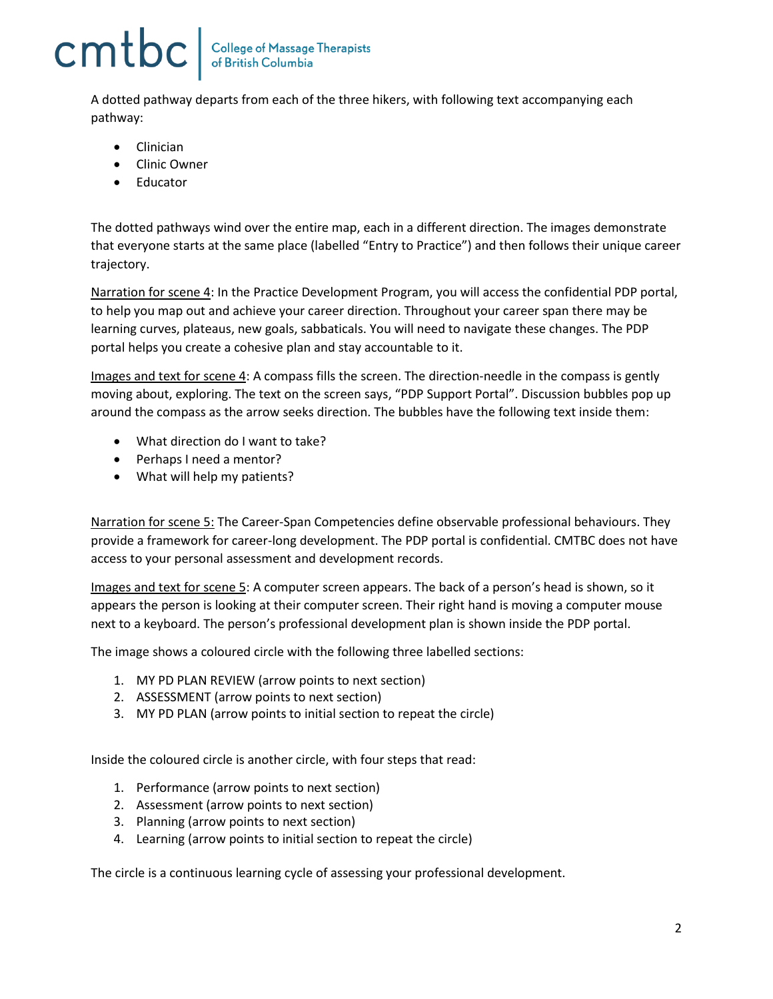## cmtbc

A dotted pathway departs from each of the three hikers, with following text accompanying each pathway:

- Clinician
- Clinic Owner
- Educator

The dotted pathways wind over the entire map, each in a different direction. The images demonstrate that everyone starts at the same place (labelled "Entry to Practice") and then follows their unique career trajectory.

Narration for scene 4: In the Practice Development Program, you will access the confidential PDP portal, to help you map out and achieve your career direction. Throughout your career span there may be learning curves, plateaus, new goals, sabbaticals. You will need to navigate these changes. The PDP portal helps you create a cohesive plan and stay accountable to it.

Images and text for scene 4: A compass fills the screen. The direction-needle in the compass is gently moving about, exploring. The text on the screen says, "PDP Support Portal". Discussion bubbles pop up around the compass as the arrow seeks direction. The bubbles have the following text inside them:

- What direction do I want to take?
- Perhaps I need a mentor?
- What will help my patients?

Narration for scene 5: The Career-Span Competencies define observable professional behaviours. They provide a framework for career-long development. The PDP portal is confidential. CMTBC does not have access to your personal assessment and development records.

Images and text for scene 5: A computer screen appears. The back of a person's head is shown, so it appears the person is looking at their computer screen. Their right hand is moving a computer mouse next to a keyboard. The person's professional development plan is shown inside the PDP portal.

The image shows a coloured circle with the following three labelled sections:

- 1. MY PD PLAN REVIEW (arrow points to next section)
- 2. ASSESSMENT (arrow points to next section)
- 3. MY PD PLAN (arrow points to initial section to repeat the circle)

Inside the coloured circle is another circle, with four steps that read:

- 1. Performance (arrow points to next section)
- 2. Assessment (arrow points to next section)
- 3. Planning (arrow points to next section)
- 4. Learning (arrow points to initial section to repeat the circle)

The circle is a continuous learning cycle of assessing your professional development.